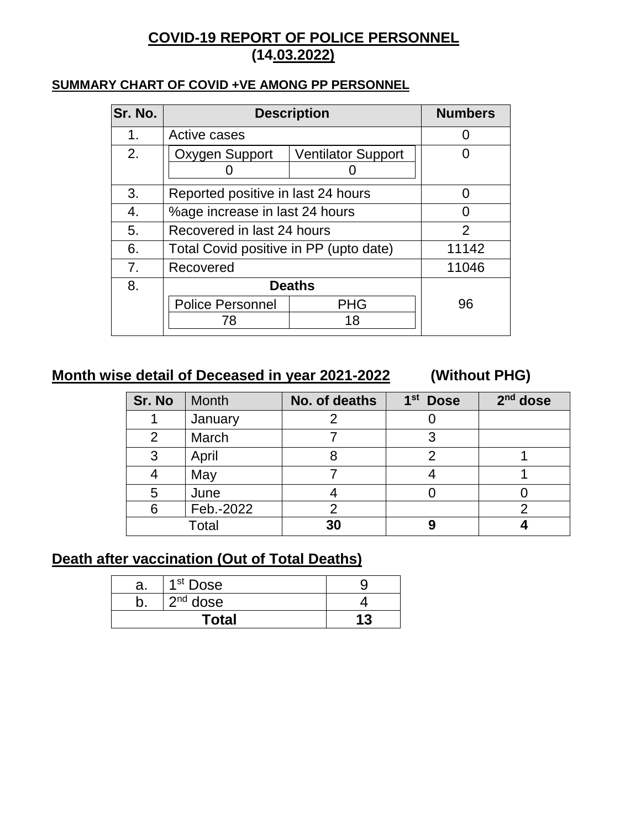## **COVID-19 REPORT OF POLICE PERSONNEL (14.03.2022)**

#### **SUMMARY CHART OF COVID +VE AMONG PP PERSONNEL**

| Sr. No. | <b>Description</b>                          |            | <b>Numbers</b> |
|---------|---------------------------------------------|------------|----------------|
| 1.      | Active cases                                |            |                |
| 2.      | Oxygen Support<br><b>Ventilator Support</b> |            |                |
|         |                                             |            |                |
| 3.      | Reported positive in last 24 hours          |            | O              |
| 4.      | %age increase in last 24 hours              |            |                |
| 5.      | Recovered in last 24 hours                  |            | 2              |
| 6.      | Total Covid positive in PP (upto date)      |            | 11142          |
| 7.      | Recovered                                   |            | 11046          |
| 8.      | <b>Deaths</b>                               |            |                |
|         | <b>Police Personnel</b>                     | <b>PHG</b> | 96             |
|         | 78                                          | 18         |                |
|         |                                             |            |                |

## **Month wise detail of Deceased in year 2021-2022 (Without PHG)**

| Sr. No | <b>Month</b> | No. of deaths | 1 <sup>st</sup> Dose | $2nd$ dose |
|--------|--------------|---------------|----------------------|------------|
|        | January      |               |                      |            |
| 2      | March        |               | っ                    |            |
| 3      | April        |               |                      |            |
|        | May          |               |                      |            |
| 5      | June         |               |                      |            |
| 6      | Feb.-2022    |               |                      |            |
|        | Total        | 30            | 9                    |            |

### **Death after vaccination (Out of Total Deaths)**

| а.    | 1 <sup>st</sup> Dose |    |
|-------|----------------------|----|
|       | $2nd$ dose           |    |
| Total |                      | 13 |